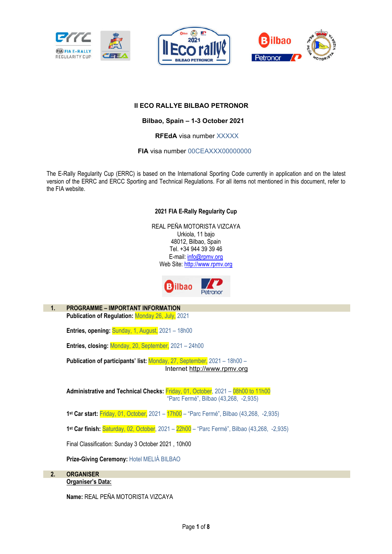





### **II ECO RALLYE BILBAO PETRONOR**

 **Bilbao, Spain – 1-3 October 2021** 

 **RFEdA** visa number XXXXX

**FIA** visa number 00CEAXXX00000000

The E-Rally Regularity Cup (ERRC) is based on the International Sporting Code currently in application and on the latest version of the ERRC and ERCC Sporting and Technical Regulations. For all items not mentioned in this document, refer to the FIA website.

#### **2021 FIA E-Rally Regularity Cup**

REAL PEÑA MOTORISTA VIZCAYA Urkiola, 11 bajo 48012, Bilbao, Spain Tel. +34 944 39 39 46 E-mail: info@rpmv.org Web Site: http://www.rpmv.org



**1. PROGRAMME – IMPORTANT INFORMATION Publication of Regulation:** Monday 26, July, 2021

**Entries, opening: Sunday, 1, August, 2021 – 18h00** 

**Entries, closing:** Monday, 20, September, 2021 – 24h00

**Publication of participants' list:** Monday, 27, September, 2021 – 18h00 – Internet http://www.rpmv.org

**Administrative and Technical Checks:** Friday, 01, October, 2021 – 08h00 to 11h00 "Parc Fermé", Bilbao (43,268, -2,935)

**1 st Car start:** Friday, 01, October, 2021 – 17h00 – "Parc Fermé", Bilbao (43,268, -2,935)

**1 st Car finish:** Saturday, 02, October, 2021 – 22h00 – "Parc Fermé", Bilbao (43,268, -2,935)

Final Classification: Sunday 3 October 2021 , 10h00

**Prize-Giving Ceremony:** Hotel MELIÁ BILBAO

**2. ORGANISER Organiser's Data:** 

**Name:** REAL PEÑA MOTORISTA VIZCAYA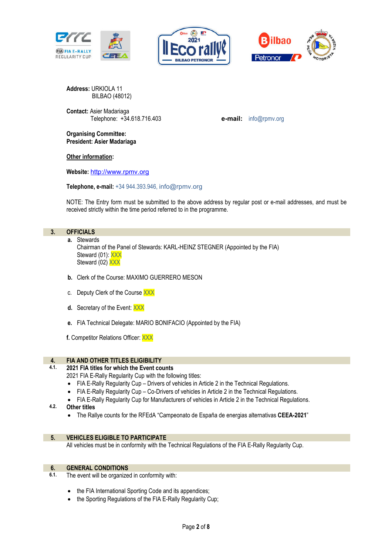





**Address:** URKIOLA 11 BILBAO (48012)

**Contact:** Asier Madariaga Telephone: +34.618.716.403 **e-mail:** info@rpmv.org

**Organising Committee: President: Asier Madariaga** 

**Other information:** 

**Website:** http://www.rpmv.org

**Telephone, e-mail:** +34 944.393.946, info@rpmv.org

NOTE: The Entry form must be submitted to the above address by regular post or e-mail addresses, and must be received strictly within the time period referred to in the programme.

### **3. OFFICIALS**

- **a.** Stewards Chairman of the Panel of Stewards: KARL-HEINZ STEGNER (Appointed by the FIA) Steward (01): XXX Steward (02) XXX
- **b.** Clerk of the Course: MAXIMO GUERRERO MESON
- c. Deputy Clerk of the Course XXX
- **d.** Secretary of the Event: XXX
- **e.** FIA Technical Delegate: MARIO BONIFACIO (Appointed by the FIA)

**f.** Competitor Relations Officer: XXX

# **4. FIA AND OTHER TITLES ELIGIBILITY**

- **4.1. 2021 FIA titles for which the Event counts**
	- 2021 FIA E-Rally Regularity Cup with the following titles:
	- FIA E-Rally Regularity Cup Drivers of vehicles in Article 2 in the Technical Regulations.
	- FIA E-Rally Regularity Cup Co-Drivers of vehicles in Article 2 in the Technical Regulations.
	- FIA E-Rally Regularity Cup for Manufacturers of vehicles in Article 2 in the Technical Regulations.
- **4.2. Other titles**
	- The Rallye counts for the RFEdA "Campeonato de España de energias alternativas **CEEA-2021**"

#### **5. VEHICLES ELIGIBLE TO PARTICIPATE**

All vehicles must be in conformity with the Technical Regulations of the FIA E-Rally Regularity Cup.

# **6. GENERAL CONDITIONS**<br>**6.1.** The event will be organize

- The event will be organized in conformity with:
	- the FIA International Sporting Code and its appendices;
	- the Sporting Regulations of the FIA E-Rally Regularity Cup;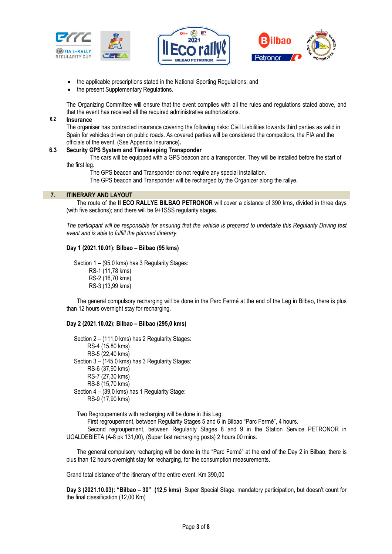





- the applicable prescriptions stated in the National Sporting Regulations; and
- the present Supplementary Regulations.

The Organizing Committee will ensure that the event complies with all the rules and regulations stated above, and that the event has received all the required administrative authorizations.

#### **6.2 Insurance**

The organiser has contracted insurance covering the following risks: Civil Liabilities towards third parties as valid in Spain for vehicles driven on public roads. As covered parties will be considered the competitors, the FIA and the officials of the event. (See Appendix Insurance)**.**

#### **6.3 Security GPS System and Timekeeping Transponder**

 The cars will be equipped with a GPS beacon and a transponder. They will be installed before the start of the first leg.

The GPS beacon and Transponder do not require any special installation.

The GPS beacon and Transponder will be recharged by the Organizer along the rallye**.**

#### **7. ITINERARY AND LAYOUT**

The route of the **II ECO RALLYE BILBAO PETRONOR** will cover a distance of 390 kms, divided in three days (with five sections); and there will be 9+1SSS regularity stages.

*The participant will be responsible for ensuring that the vehicle is prepared to undertake this Regularity Driving test event and is able to fulfill the planned itinerary*.

#### **Day 1 (2021.10.01): Bilbao – Bilbao (95 kms)**

 Section 1 – (95,0 kms) has 3 Regularity Stages: RS-1 (11,78 kms) RS-2 (16,70 kms) RS-3 (13,99 kms)

The general compulsory recharging will be done in the Parc Fermé at the end of the Leg in Bilbao, there is plus than 12 hours overnight stay for recharging.

#### **Day 2 (2021.10.02): Bilbao – Bilbao (295,0 kms)**

 Section 2 – (111,0 kms) has 2 Regularity Stages: RS-4 (15,80 kms) RS-5 (22,40 kms) Section 3 – (145,0 kms) has 3 Regularity Stages: RS-6 (37,90 kms) RS-7 (27,30 kms) RS-8 (15,70 kms) Section 4 – (39,0 kms) has 1 Regularity Stage: RS-9 (17,90 kms)

Two Regroupements with recharging will be done in this Leg:

First regroupement, between Regularity Stages 5 and 6 in Bilbao "Parc Fermé", 4 hours.

 Second regroupement, between Regularity Stages 8 and 9 in the Station Service PETRONOR in UGALDEBIETA (A-8 pk 131,00), (Super fast recharging posts) 2 hours 00 mins.

The general compulsory recharging will be done in the "Parc Fermé" at the end of the Day 2 in Bilbao, there is plus than 12 hours overnight stay for recharging, for the consumption measurements.

Grand total distance of the itinerary of the entire event. Km 390,00

**Day 3 (2021.10.03): "Bilbao – 30" (12,5 kms)** Super Special Stage, mandatory participation, but doesn't count for the final classification (12,00 Km)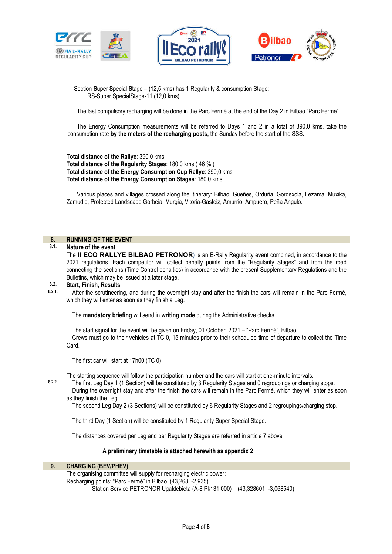





 Section **S**uper **S**pecial **S**tage – (12,5 kms) has 1 Regularity & consumption Stage: RS-Super SpecialStage-11 (12,0 kms)

The last compulsory recharging will be done in the Parc Fermé at the end of the Day 2 in Bilbao "Parc Fermé".

The Energy Consumption measurements will be referred to Days 1 and 2 in a total of 390,0 kms, take the consumption rate **by the meters of the recharging posts,** the Sunday before the start of the SSS**.**

**Total distance of the Rallye**: 390,0 kms **Total distance of the Regularity Stages**: 180,0 kms ( 46 % ) **Total distance of the Energy Consumption Cup Rallye**: 390,0 kms **Total distance of the Energy Consumption Stages**: 180,0 kms

Various places and villages crossed along the itinerary: Bilbao, Güeñes, Orduña, Gordexola, Lezama, Muxika, Zamudio, Protected Landscape Gorbeia, Murgia, Vitoria-Gasteiz, Amurrio, Ampuero, Peña Angulo.

# **8. RUNNING OF THE EVENT**

#### **8.1. Nature of the event**

The **II ECO RALLYE BILBAO PETRONOR**) is an E-Rally Regularity event combined, in accordance to the 2021 regulations. Each competitor will collect penalty points from the "Regularity Stages" and from the road connecting the sections (Time Control penalties) in accordance with the present Supplementary Regulations and the Bulletins, which may be issued at a later stage.

# **8.2. Start, Finish, Results**

**8.2.1.** After the scrutineering, and during the overnight stay and after the finish the cars will remain in the Parc Fermé, which they will enter as soon as they finish a Leg.

The **mandatory briefing** will send in **writing mode** during the Administrative checks.

The start signal for the event will be given on Friday, 01 October, 2021 – "Parc Fermé", Bilbao. Crews must go to their vehicles at TC 0, 15 minutes prior to their scheduled time of departure to collect the Time Card.

The first car will start at 17h00 (TC 0)

The starting sequence will follow the participation number and the cars will start at one-minute intervals.

**8.2.2.** The first Leg Day 1 (1 Section) will be constituted by 3 Regularity Stages and 0 regroupings or charging stops. During the overnight stay and after the finish the cars will remain in the Parc Fermé, which they will enter as soon as they finish the Leg.

The second Leg Day 2 (3 Sections) will be constituted by 6 Regularity Stages and 2 regroupings/charging stop.

The third Day (1 Section) will be constituted by 1 Regularity Super Special Stage.

The distances covered per Leg and per Regularity Stages are referred in article 7 above

#### **A preliminary timetable is attached herewith as appendix 2**

#### **9. CHARGING (BEV/PHEV)**

The organising committee will supply for recharging electric power: Recharging points: "Parc Fermé" in Bilbao (43,268, -2,935) Station Service PETRONOR Ugaldebieta (A-8 Pk131,000) (43,328601, -3,068540)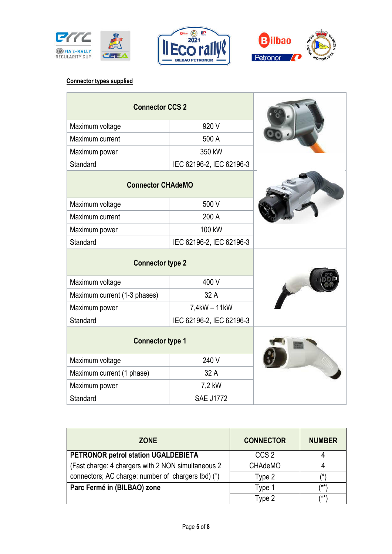





## **Connector types supplied**

| <b>Connector CCS 2</b>       |                          |  |
|------------------------------|--------------------------|--|
| Maximum voltage              | 920 V                    |  |
| Maximum current              | 500 A                    |  |
| Maximum power                | 350 kW                   |  |
| Standard                     | IEC 62196-2, IEC 62196-3 |  |
| <b>Connector CHAdeMO</b>     |                          |  |
| Maximum voltage              | 500 V                    |  |
| Maximum current              | 200 A                    |  |
| Maximum power                | 100 kW                   |  |
| Standard                     | IEC 62196-2, IEC 62196-3 |  |
| <b>Connector type 2</b>      |                          |  |
| Maximum voltage              | 400 V                    |  |
| Maximum current (1-3 phases) | 32 A                     |  |
| Maximum power                | 7,4kW - 11kW             |  |
| Standard                     | IEC 62196-2, IEC 62196-3 |  |
| <b>Connector type 1</b>      |                          |  |
| Maximum voltage              | 240 V                    |  |
| Maximum current (1 phase)    | 32 A                     |  |
| Maximum power                | 7,2 kW                   |  |
| Standard                     | <b>SAE J1772</b>         |  |

| <b>ZONE</b>                                        | <b>CONNECTOR</b> | <b>NUMBER</b> |
|----------------------------------------------------|------------------|---------------|
| PETRONOR petrol station UGALDEBIETA                | CCS <sub>2</sub> |               |
| (Fast charge: 4 chargers with 2 NON simultaneous 2 | <b>CHAdeMO</b>   |               |
| connectors; AC charge: number of chargers tbd) (*) | Type 2           | /*ˈ           |
| Parc Fermé in (BILBAO) zone                        | Type 1           | /**\          |
|                                                    | Type 2           | /**\          |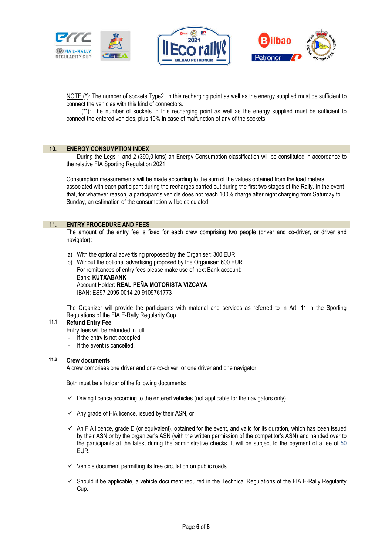





NOTE (\*): The number of sockets Type2 in this recharging point as well as the energy supplied must be sufficient to connect the vehicles with this kind of connectors.

 (\*\*): The number of sockets in this recharging point as well as the energy supplied must be sufficient to connect the entered vehicles, plus 10% in case of malfunction of any of the sockets.

#### **10. ENERGY CONSUMPTION INDEX**

During the Legs 1 and 2 (390,0 kms) an Energy Consumption classification will be constituted in accordance to the relative FIA Sporting Regulation 2021.

Consumption measurements will be made according to the sum of the values obtained from the load meters associated with each participant during the recharges carried out during the first two stages of the Rally. In the event that, for whatever reason, a participant's vehicle does not reach 100% charge after night charging from Saturday to Sunday, an estimation of the consumption wil be calculated.

#### **11. ENTRY PROCEDURE AND FEES**

The amount of the entry fee is fixed for each crew comprising two people (driver and co-driver, or driver and navigator):

- a) With the optional advertising proposed by the Organiser: 300 EUR
- b) Without the optional advertising proposed by the Organiser: 600 EUR For remittances of entry fees please make use of next Bank account: Bank: **KUTXABANK** Account Holder: **REAL PEÑA MOTORISTA VIZCAYA** IBAN: ES97 2095 0014 20 9109761773

The Organizer will provide the participants with material and services as referred to in Art. 11 in the Sporting Regulations of the FIA E-Rally Regularity Cup.

### **11.1 Refund Entry Fee**

- Entry fees will be refunded in full:
- If the entry is not accepted.
- If the event is cancelled.

#### **11.2 Crew documents**

A crew comprises one driver and one co-driver, or one driver and one navigator.

Both must be a holder of the following documents:

- $\checkmark$  Driving licence according to the entered vehicles (not applicable for the navigators only)
- $\checkmark$  Any grade of FIA licence, issued by their ASN, or
- $\checkmark$  An FIA licence, grade D (or equivalent), obtained for the event, and valid for its duration, which has been issued by their ASN or by the organizer's ASN (with the written permission of the competitor's ASN) and handed over to the participants at the latest during the administrative checks. It will be subject to the payment of a fee of 50 EUR.
- $\checkmark$  Vehicle document permitting its free circulation on public roads.
- $\checkmark$  Should it be applicable, a vehicle document required in the Technical Regulations of the FIA E-Rally Regularity Cup.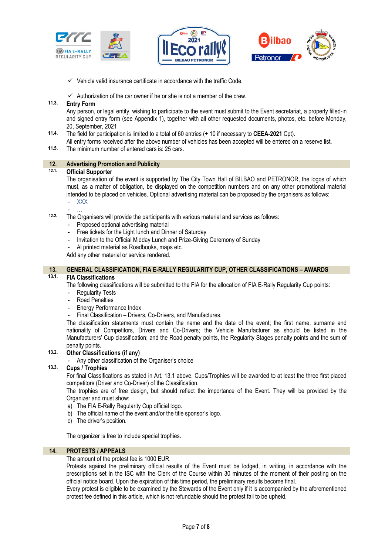





 $\checkmark$  Vehicle valid insurance certificate in accordance with the traffic Code.

 $\checkmark$  Authorization of the car owner if he or she is not a member of the crew.

#### **11.3. Entry Form**

Any person, or legal entity, wishing to participate to the event must submit to the Event secretariat, a properly filled-in and signed entry form (see Appendix 1), together with all other requested documents, photos, etc. before Monday, 20, September, 2021

- **11.4.** The field for participation is limited to a total of 60 entries (+ 10 if necessary to **CEEA-2021** Cpt).
	- All entry forms received after the above number of vehicles has been accepted will be entered on a reserve list.
- **11.5.** The minimum number of entered cars is: 25 cars.

# **12. Advertising Promotion and Publicity**

#### **12.1. Official Supporter**

The organisation of the event is supported by The City Town Hall of BILBAO and PETRONOR, the logos of which must, as a matter of obligation, be displayed on the competition numbers and on any other promotional material intended to be placed on vehicles. Optional advertising material can be proposed by the organisers as follows: - XXX

- …

- **12.2.** The Organisers will provide the participants with various material and services as follows:
	- Proposed optional advertising material
	- Free tickets for the Light lunch and Dinner of Saturday
	- Invitation to the Official Midday Lunch and Prize-Giving Ceremony of Sunday
	- Al printed material as Roadbooks, maps etc.

Add any other material or service rendered.

# **13. GENERAL CLASSIFICATION, FIA E-RALLY REGULARITY CUP, OTHER CLASSIFICATIONS – AWARDS**

#### **13.1. FIA Classifications**

The following classifications will be submitted to the FIA for the allocation of FIA E-Rally Regularity Cup points:

- Regularity Tests
- Road Penalties
- Energy Performance Index
- Final Classification Drivers, Co-Drivers, and Manufactures.

The classification statements must contain the name and the date of the event; the first name, surname and nationality of Competitors, Drivers and Co-Drivers; the Vehicle Manufacturer as should be listed in the Manufacturers' Cup classification; and the Road penalty points, the Regularity Stages penalty points and the sum of penalty points.

#### **13.2. Other Classifications (if any)**

- Any other classification of the Organiser's choice

#### **13.3. Cups / Trophies**

For final Classifications as stated in Art. 13.1 above, Cups/Trophies will be awarded to at least the three first placed competitors (Driver and Co-Driver) of the Classification.

The trophies are of free design, but should reflect the importance of the Event. They will be provided by the Organizer and must show:

- a) The FIA E-Rally Regularity Cup official logo.
- b) The official name of the event and/or the title sponsor's logo.
- c) The driver's position.

The organizer is free to include special trophies.

### **14. PROTESTS / APPEALS**

#### The amount of the protest fee is 1000 EUR.

Protests against the preliminary official results of the Event must be lodged, in writing, in accordance with the prescriptions set in the ISC with the Clerk of the Course within 30 minutes of the moment of their posting on the official notice board. Upon the expiration of this time period, the preliminary results become final.

Every protest is eligible to be examined by the Stewards of the Event only if it is accompanied by the aforementioned protest fee defined in this article, which is not refundable should the protest fail to be upheld.